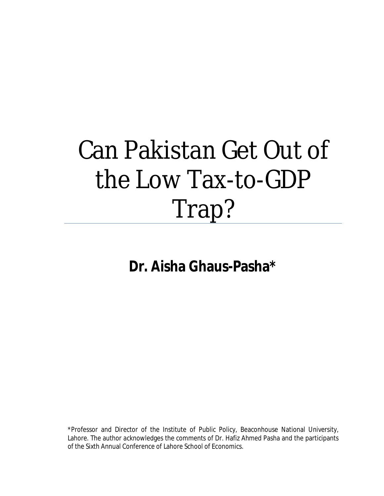# Can Pakistan Get Out of the Low Tax-to-GDP Trap?

# **Dr. Aisha Ghaus-Pasha\***

\*Professor and Director of the Institute of Public Policy, Beaconhouse National University, Lahore. The author acknowledges the comments of Dr. Hafiz Ahmed Pasha and the participants of the Sixth Annual Conference of Lahore School of Economics.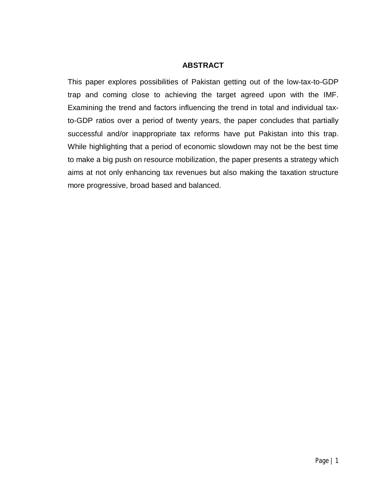#### **ABSTRACT**

This paper explores possibilities of Pakistan getting out of the low-tax-to-GDP trap and coming close to achieving the target agreed upon with the IMF. Examining the trend and factors influencing the trend in total and individual taxto-GDP ratios over a period of twenty years, the paper concludes that partially successful and/or inappropriate tax reforms have put Pakistan into this trap. While highlighting that a period of economic slowdown may not be the best time to make a big push on resource mobilization, the paper presents a strategy which aims at not only enhancing tax revenues but also making the taxation structure more progressive, broad based and balanced.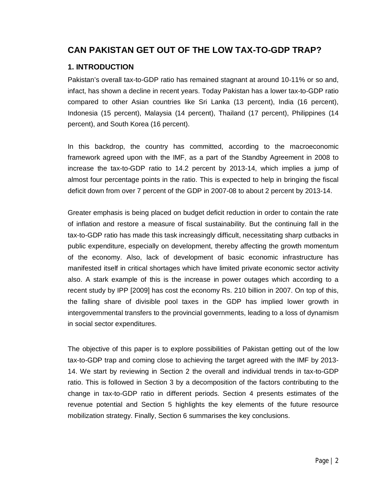### **CAN PAKISTAN GET OUT OF THE LOW TAX-TO-GDP TRAP?**

#### **1. INTRODUCTION**

Pakistan's overall tax-to-GDP ratio has remained stagnant at around 10-11% or so and, infact, has shown a decline in recent years. Today Pakistan has a lower tax-to-GDP ratio compared to other Asian countries like Sri Lanka (13 percent), India (16 percent), Indonesia (15 percent), Malaysia (14 percent), Thailand (17 percent), Philippines (14 percent), and South Korea (16 percent).

In this backdrop, the country has committed, according to the macroeconomic framework agreed upon with the IMF, as a part of the Standby Agreement in 2008 to increase the tax-to-GDP ratio to 14.2 percent by 2013-14, which implies a jump of almost four percentage points in the ratio. This is expected to help in bringing the fiscal deficit down from over 7 percent of the GDP in 2007-08 to about 2 percent by 2013-14.

Greater emphasis is being placed on budget deficit reduction in order to contain the rate of inflation and restore a measure of fiscal sustainability. But the continuing fall in the tax-to-GDP ratio has made this task increasingly difficult, necessitating sharp cutbacks in public expenditure, especially on development, thereby affecting the growth momentum of the economy. Also, lack of development of basic economic infrastructure has manifested itself in critical shortages which have limited private economic sector activity also. A stark example of this is the increase in power outages which according to a recent study by IPP [2009] has cost the economy Rs. 210 billion in 2007. On top of this, the falling share of divisible pool taxes in the GDP has implied lower growth in intergovernmental transfers to the provincial governments, leading to a loss of dynamism in social sector expenditures.

The objective of this paper is to explore possibilities of Pakistan getting out of the low tax-to-GDP trap and coming close to achieving the target agreed with the IMF by 2013- 14. We start by reviewing in Section 2 the overall and individual trends in tax-to-GDP ratio. This is followed in Section 3 by a decomposition of the factors contributing to the change in tax-to-GDP ratio in different periods. Section 4 presents estimates of the revenue potential and Section 5 highlights the key elements of the future resource mobilization strategy. Finally, Section 6 summarises the key conclusions.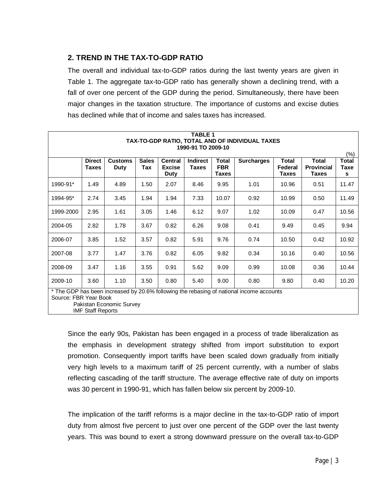#### **2. TREND IN THE TAX-TO-GDP RATIO**

The overall and individual tax-to-GDP ratios during the last twenty years are given in Table 1. The aggregate tax-to-GDP ratio has generally shown a declining trend, with a fall of over one percent of the GDP during the period. Simultaneously, there have been major changes in the taxation structure. The importance of customs and excise duties has declined while that of income and sales taxes has increased.

|           | <b>TABLE 1</b><br>TAX-TO-GDP RATIO, TOTAL AND OF INDIVIDUAL TAXES<br>1990-91 TO 2009-10                                                                                   |                               |                     |                                                |                                 |                                     |                   |                                         |                                                   |                                      |
|-----------|---------------------------------------------------------------------------------------------------------------------------------------------------------------------------|-------------------------------|---------------------|------------------------------------------------|---------------------------------|-------------------------------------|-------------------|-----------------------------------------|---------------------------------------------------|--------------------------------------|
|           | <b>Direct</b><br><b>Taxes</b>                                                                                                                                             | <b>Customs</b><br><b>Duty</b> | <b>Sales</b><br>Tax | <b>Central</b><br><b>Excise</b><br><b>Duty</b> | <b>Indirect</b><br><b>Taxes</b> | Total<br><b>FBR</b><br><b>Taxes</b> | <b>Surcharges</b> | <b>Total</b><br>Federal<br><b>Taxes</b> | <b>Total</b><br><b>Provincial</b><br><b>Taxes</b> | $(\% )$<br><b>Total</b><br>Taxe<br>s |
| 1990-91*  | 1.49                                                                                                                                                                      | 4.89                          | 1.50                | 2.07                                           | 8.46                            | 9.95                                | 1.01              | 10.96                                   | 0.51                                              | 11.47                                |
| 1994-95*  | 2.74                                                                                                                                                                      | 3.45                          | 1.94                | 1.94                                           | 7.33                            | 10.07                               | 0.92              | 10.99                                   | 0.50                                              | 11.49                                |
| 1999-2000 | 2.95                                                                                                                                                                      | 1.61                          | 3.05                | 1.46                                           | 6.12                            | 9.07                                | 1.02              | 10.09                                   | 0.47                                              | 10.56                                |
| 2004-05   | 2.82                                                                                                                                                                      | 1.78                          | 3.67                | 0.82                                           | 6.26                            | 9.08                                | 0.41              | 9.49                                    | 0.45                                              | 9.94                                 |
| 2006-07   | 3.85                                                                                                                                                                      | 1.52                          | 3.57                | 0.82                                           | 5.91                            | 9.76                                | 0.74              | 10.50                                   | 0.42                                              | 10.92                                |
| 2007-08   | 3.77                                                                                                                                                                      | 1.47                          | 3.76                | 0.82                                           | 6.05                            | 9.82                                | 0.34              | 10.16                                   | 0.40                                              | 10.56                                |
| 2008-09   | 3.47                                                                                                                                                                      | 1.16                          | 3.55                | 0.91                                           | 5.62                            | 9.09                                | 0.99              | 10.08                                   | 0.36                                              | 10.44                                |
| 2009-10   | 3.60                                                                                                                                                                      | 1.10                          | 3.50                | 0.80                                           | 5.40                            | 9.00                                | 0.80              | 9.80                                    | 0.40                                              | 10.20                                |
|           | * The GDP has been increased by 20.6% following the rebasing of national income accounts<br>Source: FBR Year Book<br>Pakistan Economic Survey<br><b>IMF Staff Reports</b> |                               |                     |                                                |                                 |                                     |                   |                                         |                                                   |                                      |

Since the early 90s, Pakistan has been engaged in a process of trade liberalization as the emphasis in development strategy shifted from import substitution to export promotion. Consequently import tariffs have been scaled down gradually from initially very high levels to a maximum tariff of 25 percent currently, with a number of slabs reflecting cascading of the tariff structure. The average effective rate of duty on imports was 30 percent in 1990-91, which has fallen below six percent by 2009-10.

The implication of the tariff reforms is a major decline in the tax-to-GDP ratio of import duty from almost five percent to just over one percent of the GDP over the last twenty years. This was bound to exert a strong downward pressure on the overall tax-to-GDP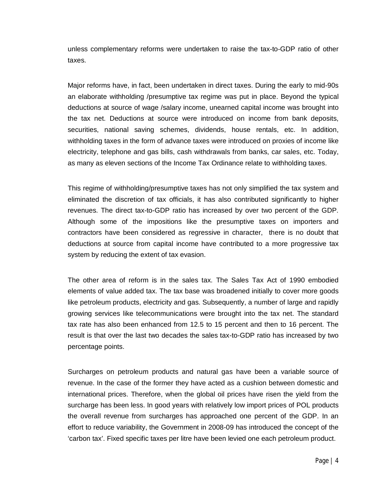unless complementary reforms were undertaken to raise the tax-to-GDP ratio of other taxes.

Major reforms have, in fact, been undertaken in direct taxes. During the early to mid-90s an elaborate withholding /presumptive tax regime was put in place. Beyond the typical deductions at source of wage /salary income, unearned capital income was brought into the tax net. Deductions at source were introduced on income from bank deposits, securities, national saving schemes, dividends, house rentals, etc. In addition, withholding taxes in the form of advance taxes were introduced on proxies of income like electricity, telephone and gas bills, cash withdrawals from banks, car sales, etc. Today, as many as eleven sections of the Income Tax Ordinance relate to withholding taxes.

This regime of withholding/presumptive taxes has not only simplified the tax system and eliminated the discretion of tax officials, it has also contributed significantly to higher revenues. The direct tax-to-GDP ratio has increased by over two percent of the GDP. Although some of the impositions like the presumptive taxes on importers and contractors have been considered as regressive in character, there is no doubt that deductions at source from capital income have contributed to a more progressive tax system by reducing the extent of tax evasion.

The other area of reform is in the sales tax. The Sales Tax Act of 1990 embodied elements of value added tax. The tax base was broadened initially to cover more goods like petroleum products, electricity and gas. Subsequently, a number of large and rapidly growing services like telecommunications were brought into the tax net. The standard tax rate has also been enhanced from 12.5 to 15 percent and then to 16 percent. The result is that over the last two decades the sales tax-to-GDP ratio has increased by two percentage points.

Surcharges on petroleum products and natural gas have been a variable source of revenue. In the case of the former they have acted as a cushion between domestic and international prices. Therefore, when the global oil prices have risen the yield from the surcharge has been less. In good years with relatively low import prices of POL products the overall revenue from surcharges has approached one percent of the GDP. In an effort to reduce variability, the Government in 2008-09 has introduced the concept of the 'carbon tax'. Fixed specific taxes per litre have been levied one each petroleum product.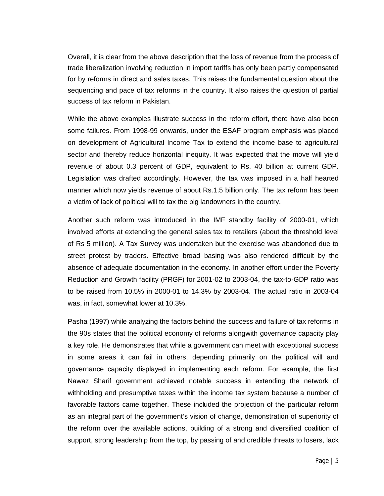Overall, it is clear from the above description that the loss of revenue from the process of trade liberalization involving reduction in import tariffs has only been partly compensated for by reforms in direct and sales taxes. This raises the fundamental question about the sequencing and pace of tax reforms in the country. It also raises the question of partial success of tax reform in Pakistan.

While the above examples illustrate success in the reform effort, there have also been some failures. From 1998-99 onwards, under the ESAF program emphasis was placed on development of Agricultural Income Tax to extend the income base to agricultural sector and thereby reduce horizontal inequity. It was expected that the move will yield revenue of about 0.3 percent of GDP, equivalent to Rs. 40 billion at current GDP. Legislation was drafted accordingly. However, the tax was imposed in a half hearted manner which now yields revenue of about Rs.1.5 billion only. The tax reform has been a victim of lack of political will to tax the big landowners in the country.

Another such reform was introduced in the IMF standby facility of 2000-01, which involved efforts at extending the general sales tax to retailers (about the threshold level of Rs 5 million). A Tax Survey was undertaken but the exercise was abandoned due to street protest by traders. Effective broad basing was also rendered difficult by the absence of adequate documentation in the economy. In another effort under the Poverty Reduction and Growth facility (PRGF) for 2001-02 to 2003-04, the tax-to-GDP ratio was to be raised from 10.5% in 2000-01 to 14.3% by 2003-04. The actual ratio in 2003-04 was, in fact, somewhat lower at 10.3%.

Pasha (1997) while analyzing the factors behind the success and failure of tax reforms in the 90s states that the political economy of reforms alongwith governance capacity play a key role. He demonstrates that while a government can meet with exceptional success in some areas it can fail in others, depending primarily on the political will and governance capacity displayed in implementing each reform. For example, the first Nawaz Sharif government achieved notable success in extending the network of withholding and presumptive taxes within the income tax system because a number of favorable factors came together. These included the projection of the particular reform as an integral part of the government's vision of change, demonstration of superiority of the reform over the available actions, building of a strong and diversified coalition of support, strong leadership from the top, by passing of and credible threats to losers, lack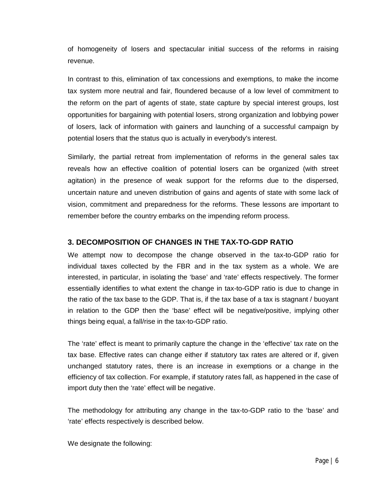of homogeneity of losers and spectacular initial success of the reforms in raising revenue.

In contrast to this, elimination of tax concessions and exemptions, to make the income tax system more neutral and fair, floundered because of a low level of commitment to the reform on the part of agents of state, state capture by special interest groups, lost opportunities for bargaining with potential losers, strong organization and lobbying power of losers, lack of information with gainers and launching of a successful campaign by potential losers that the status quo is actually in everybody's interest.

Similarly, the partial retreat from implementation of reforms in the general sales tax reveals how an effective coalition of potential losers can be organized (with street agitation) in the presence of weak support for the reforms due to the dispersed, uncertain nature and uneven distribution of gains and agents of state with some lack of vision, commitment and preparedness for the reforms. These lessons are important to remember before the country embarks on the impending reform process.

#### **3. DECOMPOSITION OF CHANGES IN THE TAX-TO-GDP RATIO**

We attempt now to decompose the change observed in the tax-to-GDP ratio for individual taxes collected by the FBR and in the tax system as a whole. We are interested, in particular, in isolating the 'base' and 'rate' effects respectively. The former essentially identifies to what extent the change in tax-to-GDP ratio is due to change in the ratio of the tax base to the GDP. That is, if the tax base of a tax is stagnant / buoyant in relation to the GDP then the 'base' effect will be negative/positive, implying other things being equal, a fall/rise in the tax-to-GDP ratio.

The 'rate' effect is meant to primarily capture the change in the 'effective' tax rate on the tax base. Effective rates can change either if statutory tax rates are altered or if, given unchanged statutory rates, there is an increase in exemptions or a change in the efficiency of tax collection. For example, if statutory rates fall, as happened in the case of import duty then the 'rate' effect will be negative.

The methodology for attributing any change in the tax-to-GDP ratio to the 'base' and 'rate' effects respectively is described below.

We designate the following: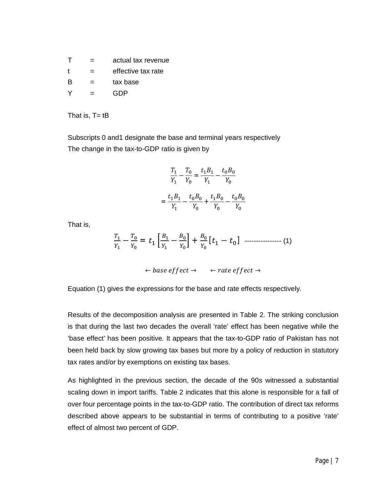| $\mathsf{T}$ | = | actual tax revenue |
|--------------|---|--------------------|
| $\mathbf t$  | = | effective tax rate |
| <b>B</b>     | = | tax base           |
|              |   | GDP                |

That is,  $T = tB$ 

Subscripts 0 and1 designate the base and terminal years respectively The change in the tax-to-GDP ratio is given by

$$
\frac{T_1}{Y_1} - \frac{T_0}{Y_0} = \frac{t_1 B_1}{Y_1} - \frac{t_0 B_0}{Y_0}
$$

$$
= \frac{t_1 B_1}{Y_1} - \frac{t_0 B_0}{Y_0} + \frac{t_1 B_0}{Y_0} - \frac{t_0 B_0}{Y_0}
$$

That is,

$$
\frac{T_1}{Y_1} - \frac{T_0}{Y_0} = t_1 \left[ \frac{B_1}{Y_1} - \frac{B_0}{Y_0} \right] + \frac{B_0}{Y_0} \left[ t_1 - t_0 \right] \quad \dots \tag{1}
$$

$$
\leftarrow \textit{base effect} \rightarrow \leftarrow \textit{rate effect} \rightarrow
$$

Equation (1) gives the expressions for the base and rate effects respectively.

Results of the decomposition analysis are presented in Table 2. The striking conclusion is that during the last two decades the overall 'rate' effect has been negative while the 'base effect' has been positive. It appears that the tax-to-GDP ratio of Pakistan has not been held back by slow growing tax bases but more by a policy of reduction in statutory tax rates and/or by exemptions on existing tax bases.

As highlighted in the previous section, the decade of the 90s witnessed a substantial scaling down in import tariffs. Table 2 indicates that this alone is responsible for a fall of over four percentage points in the tax-to-GDP ratio. The contribution of direct tax reforms described above appears to be substantial in terms of contributing to a positive 'rate' effect of almost two percent of GDP.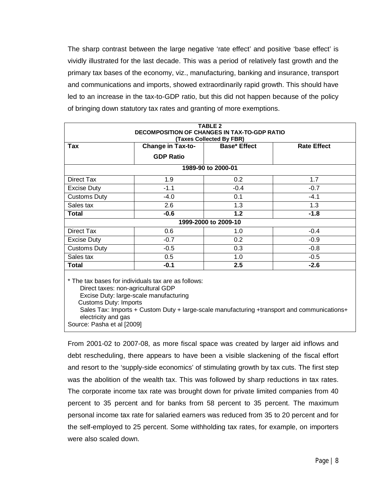The sharp contrast between the large negative 'rate effect' and positive 'base effect' is vividly illustrated for the last decade. This was a period of relatively fast growth and the primary tax bases of the economy, viz., manufacturing, banking and insurance, transport and communications and imports, showed extraordinarily rapid growth. This should have led to an increase in the tax-to-GDP ratio, but this did not happen because of the policy of bringing down statutory tax rates and granting of more exemptions.

|                                                     |                   | <b>TABLE 2</b>       |                    |  |  |  |
|-----------------------------------------------------|-------------------|----------------------|--------------------|--|--|--|
| <b>DECOMPOSITION OF CHANGES IN TAX-TO-GDP RATIO</b> |                   |                      |                    |  |  |  |
| (Taxes Collected By FBR)                            |                   |                      |                    |  |  |  |
| Tax                                                 | Change in Tax-to- | <b>Base*</b> Effect  | <b>Rate Effect</b> |  |  |  |
|                                                     | <b>GDP Ratio</b>  |                      |                    |  |  |  |
|                                                     |                   | 1989-90 to 2000-01   |                    |  |  |  |
| Direct Tax                                          | 1.9               | 0.2                  | 1.7                |  |  |  |
| <b>Excise Duty</b>                                  | $-1.1$            | $-0.4$               | $-0.7$             |  |  |  |
| <b>Customs Duty</b>                                 | $-4.0$            | 0.1                  | $-4.1$             |  |  |  |
| Sales tax                                           | 2.6               | 1.3                  | 1.3                |  |  |  |
| Total                                               | $-0.6$            | 1.2                  | $-1.8$             |  |  |  |
|                                                     |                   | 1999-2000 to 2009-10 |                    |  |  |  |
| Direct Tax                                          | 0.6               | 1.0                  | $-0.4$             |  |  |  |
| Excise Duty                                         | $-0.7$            | 0.2                  | $-0.9$             |  |  |  |
| <b>Customs Duty</b>                                 | $-0.5$            | 0.3                  | $-0.8$             |  |  |  |
| Sales tax                                           | 0.5               | 1.0                  | $-0.5$             |  |  |  |
| <b>Total</b>                                        | $-0.1$            | 2.5                  | $-2.6$             |  |  |  |
|                                                     |                   |                      |                    |  |  |  |

The tax bases for individuals tax are as follows: Direct taxes: non-agricultural GDP Excise Duty: large-scale manufacturing Customs Duty: Imports Sales Tax: Imports + Custom Duty + large-scale manufacturing +transport and communications+ electricity and gas Source: Pasha et al [2009]

From 2001-02 to 2007-08, as more fiscal space was created by larger aid inflows and debt rescheduling, there appears to have been a visible slackening of the fiscal effort and resort to the 'supply-side economics' of stimulating growth by tax cuts. The first step was the abolition of the wealth tax. This was followed by sharp reductions in tax rates. The corporate income tax rate was brought down for private limited companies from 40 percent to 35 percent and for banks from 58 percent to 35 percent. The maximum personal income tax rate for salaried earners was reduced from 35 to 20 percent and for the self-employed to 25 percent. Some withholding tax rates, for example, on importers were also scaled down.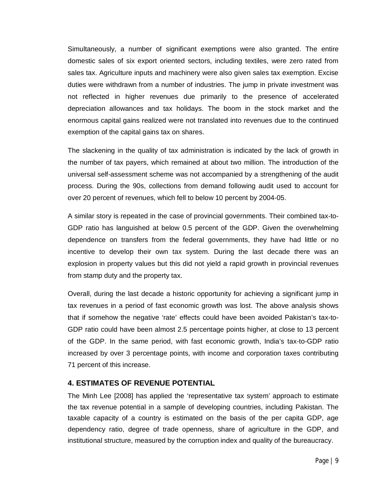Simultaneously, a number of significant exemptions were also granted. The entire domestic sales of six export oriented sectors, including textiles, were zero rated from sales tax. Agriculture inputs and machinery were also given sales tax exemption. Excise duties were withdrawn from a number of industries. The jump in private investment was not reflected in higher revenues due primarily to the presence of accelerated depreciation allowances and tax holidays. The boom in the stock market and the enormous capital gains realized were not translated into revenues due to the continued exemption of the capital gains tax on shares.

The slackening in the quality of tax administration is indicated by the lack of growth in the number of tax payers, which remained at about two million. The introduction of the universal self-assessment scheme was not accompanied by a strengthening of the audit process. During the 90s, collections from demand following audit used to account for over 20 percent of revenues, which fell to below 10 percent by 2004-05.

A similar story is repeated in the case of provincial governments. Their combined tax-to-GDP ratio has languished at below 0.5 percent of the GDP. Given the overwhelming dependence on transfers from the federal governments, they have had little or no incentive to develop their own tax system. During the last decade there was an explosion in property values but this did not yield a rapid growth in provincial revenues from stamp duty and the property tax.

Overall, during the last decade a historic opportunity for achieving a significant jump in tax revenues in a period of fast economic growth was lost. The above analysis shows that if somehow the negative 'rate' effects could have been avoided Pakistan's tax-to-GDP ratio could have been almost 2.5 percentage points higher, at close to 13 percent of the GDP. In the same period, with fast economic growth, India's tax-to-GDP ratio increased by over 3 percentage points, with income and corporation taxes contributing 71 percent of this increase.

#### **4. ESTIMATES OF REVENUE POTENTIAL**

The Minh Lee [2008] has applied the 'representative tax system' approach to estimate the tax revenue potential in a sample of developing countries, including Pakistan. The taxable capacity of a country is estimated on the basis of the per capita GDP, age dependency ratio, degree of trade openness, share of agriculture in the GDP, and institutional structure, measured by the corruption index and quality of the bureaucracy.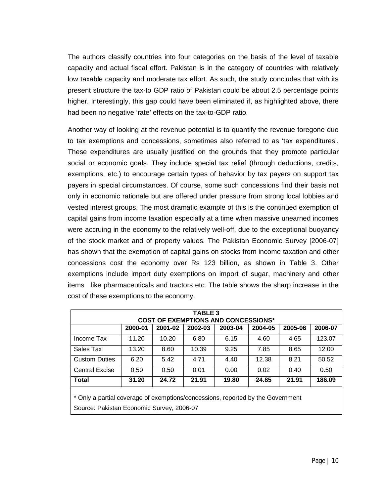The authors classify countries into four categories on the basis of the level of taxable capacity and actual fiscal effort. Pakistan is in the category of countries with relatively low taxable capacity and moderate tax effort. As such, the study concludes that with its present structure the tax-to GDP ratio of Pakistan could be about 2.5 percentage points higher. Interestingly, this gap could have been eliminated if, as highlighted above, there had been no negative 'rate' effects on the tax-to-GDP ratio.

Another way of looking at the revenue potential is to quantify the revenue foregone due to tax exemptions and concessions, sometimes also referred to as 'tax expenditures'. These expenditures are usually justified on the grounds that they promote particular social or economic goals. They include special tax relief (through deductions, credits, exemptions, etc.) to encourage certain types of behavior by tax payers on support tax payers in special circumstances. Of course, some such concessions find their basis not only in economic rationale but are offered under pressure from strong local lobbies and vested interest groups. The most dramatic example of this is the continued exemption of capital gains from income taxation especially at a time when massive unearned incomes were accruing in the economy to the relatively well-off, due to the exceptional buoyancy of the stock market and of property values. The Pakistan Economic Survey [2006-07] has shown that the exemption of capital gains on stocks from income taxation and other concessions cost the economy over Rs 123 billion, as shown in Table 3. Other exemptions include import duty exemptions on import of sugar, machinery and other items like pharmaceuticals and tractors etc. The table shows the sharp increase in the cost of these exemptions to the economy.

| <b>TABLE 3</b><br><b>COST OF EXEMPTIONS AND CONCESSIONS*</b>                                                                      |         |         |         |         |         |         |         |  |
|-----------------------------------------------------------------------------------------------------------------------------------|---------|---------|---------|---------|---------|---------|---------|--|
|                                                                                                                                   | 2000-01 | 2001-02 | 2002-03 | 2003-04 | 2004-05 | 2005-06 | 2006-07 |  |
| Income Tax                                                                                                                        | 11.20   | 10.20   | 6.80    | 6.15    | 4.60    | 4.65    | 123.07  |  |
| Sales Tax                                                                                                                         | 13.20   | 8.60    | 10.39   | 9.25    | 7.85    | 8.65    | 12.00   |  |
| <b>Custom Duties</b>                                                                                                              | 6.20    | 5.42    | 4.71    | 4.40    | 12.38   | 8.21    | 50.52   |  |
| <b>Central Excise</b>                                                                                                             | 0.50    | 0.50    | 0.01    | 0.00    | 0.02    | 0.40    | 0.50    |  |
| <b>Total</b>                                                                                                                      | 31.20   | 24.72   | 21.91   | 19.80   | 24.85   | 21.91   | 186.09  |  |
| $\star \bullet$ . It is a substitute of an expected to the contract of a second at the theory $\bullet$ contract of the $\bullet$ |         |         |         |         |         |         |         |  |

Only a partial coverage of exemptions/concessions, reported by the Government Source: Pakistan Economic Survey, 2006-07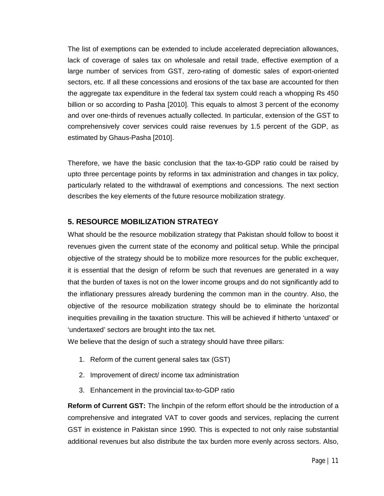The list of exemptions can be extended to include accelerated depreciation allowances, lack of coverage of sales tax on wholesale and retail trade, effective exemption of a large number of services from GST, zero-rating of domestic sales of export-oriented sectors, etc. If all these concessions and erosions of the tax base are accounted for then the aggregate tax expenditure in the federal tax system could reach a whopping Rs 450 billion or so according to Pasha [2010]. This equals to almost 3 percent of the economy and over one-thirds of revenues actually collected. In particular, extension of the GST to comprehensively cover services could raise revenues by 1.5 percent of the GDP, as estimated by Ghaus-Pasha [2010].

Therefore, we have the basic conclusion that the tax-to-GDP ratio could be raised by upto three percentage points by reforms in tax administration and changes in tax policy, particularly related to the withdrawal of exemptions and concessions. The next section describes the key elements of the future resource mobilization strategy.

#### **5. RESOURCE MOBILIZATION STRATEGY**

What should be the resource mobilization strategy that Pakistan should follow to boost it revenues given the current state of the economy and political setup. While the principal objective of the strategy should be to mobilize more resources for the public exchequer, it is essential that the design of reform be such that revenues are generated in a way that the burden of taxes is not on the lower income groups and do not significantly add to the inflationary pressures already burdening the common man in the country. Also, the objective of the resource mobilization strategy should be to eliminate the horizontal inequities prevailing in the taxation structure. This will be achieved if hitherto 'untaxed' or 'undertaxed' sectors are brought into the tax net.

We believe that the design of such a strategy should have three pillars:

- 1. Reform of the current general sales tax (GST)
- 2. Improvement of direct/ income tax administration
- 3. Enhancement in the provincial tax-to-GDP ratio

**Reform of Current GST:** The linchpin of the reform effort should be the introduction of a comprehensive and integrated VAT to cover goods and services, replacing the current GST in existence in Pakistan since 1990. This is expected to not only raise substantial additional revenues but also distribute the tax burden more evenly across sectors. Also,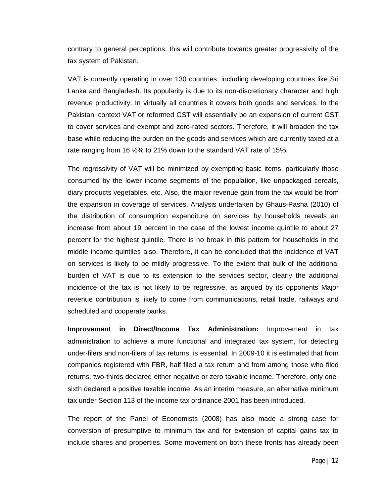contrary to general perceptions, this will contribute towards greater progressivity of the tax system of Pakistan.

VAT is currently operating in over 130 countries, including developing countries like Sri Lanka and Bangladesh. Its popularity is due to its non-discretionary character and high revenue productivity. In virtually all countries it covers both goods and services. In the Pakistani context VAT or reformed GST will essentially be an expansion of current GST to cover services and exempt and zero-rated sectors. Therefore, it will broaden the tax base while reducing the burden on the goods and services which are currently taxed at a rate ranging from 16 ½% to 21% down to the standard VAT rate of 15%.

The regressivity of VAT will be minimized by exempting basic items, particularly those consumed by the lower income segments of the population, like unpackaged cereals, diary products vegetables, etc. Also, the major revenue gain from the tax would be from the expansion in coverage of services. Analysis undertaken by Ghaus-Pasha (2010) of the distribution of consumption expenditure on services by households reveals an increase from about 19 percent in the case of the lowest income quintile to about 27 percent for the highest quintile. There is no break in this pattern for households in the middle income quintiles also. Therefore, it can be concluded that the incidence of VAT on services is likely to be mildly progressive. To the extent that bulk of the additional burden of VAT is due to its extension to the services sector, clearly the additional incidence of the tax is not likely to be regressive, as argued by its opponents Major revenue contribution is likely to come from communications, retail trade, railways and scheduled and cooperate banks.

**Improvement in Direct/Income Tax Administration:** Improvement in tax administration to achieve a more functional and integrated tax system, for detecting under-filers and non-filers of tax returns, is essential. In 2009-10 it is estimated that from companies registered with FBR, half filed a tax return and from among those who filed returns, two-thirds declared either negative or zero taxable income. Therefore, only onesixth declared a positive taxable income. As an interim measure, an alternative minimum tax under Section 113 of the income tax ordinance 2001 has been introduced.

The report of the Panel of Economists (2008) has also made a strong case for conversion of presumptive to minimum tax and for extension of capital gains tax to include shares and properties. Some movement on both these fronts has already been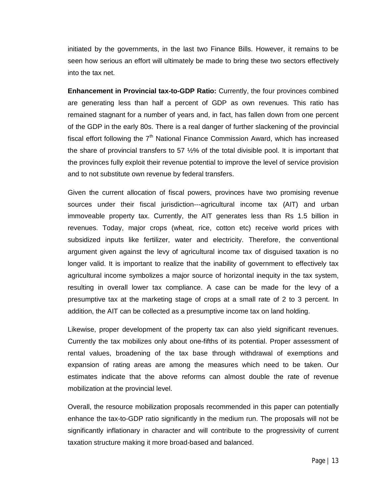initiated by the governments, in the last two Finance Bills. However, it remains to be seen how serious an effort will ultimately be made to bring these two sectors effectively into the tax net.

**Enhancement in Provincial tax-to-GDP Ratio:** Currently, the four provinces combined are generating less than half a percent of GDP as own revenues. This ratio has remained stagnant for a number of years and, in fact, has fallen down from one percent of the GDP in the early 80s. There is a real danger of further slackening of the provincial fiscal effort following the  $7<sup>th</sup>$  National Finance Commission Award, which has increased the share of provincial transfers to 57  $\frac{1}{2}\%$  of the total divisible pool. It is important that the provinces fully exploit their revenue potential to improve the level of service provision and to not substitute own revenue by federal transfers.

Given the current allocation of fiscal powers, provinces have two promising revenue sources under their fiscal jurisdiction---agricultural income tax (AIT) and urban immoveable property tax. Currently, the AIT generates less than Rs 1.5 billion in revenues. Today, major crops (wheat, rice, cotton etc) receive world prices with subsidized inputs like fertilizer, water and electricity. Therefore, the conventional argument given against the levy of agricultural income tax of disguised taxation is no longer valid. It is important to realize that the inability of government to effectively tax agricultural income symbolizes a major source of horizontal inequity in the tax system, resulting in overall lower tax compliance. A case can be made for the levy of a presumptive tax at the marketing stage of crops at a small rate of 2 to 3 percent. In addition, the AIT can be collected as a presumptive income tax on land holding.

Likewise, proper development of the property tax can also yield significant revenues. Currently the tax mobilizes only about one-fifths of its potential. Proper assessment of rental values, broadening of the tax base through withdrawal of exemptions and expansion of rating areas are among the measures which need to be taken. Our estimates indicate that the above reforms can almost double the rate of revenue mobilization at the provincial level.

Overall, the resource mobilization proposals recommended in this paper can potentially enhance the tax-to-GDP ratio significantly in the medium run. The proposals will not be significantly inflationary in character and will contribute to the progressivity of current taxation structure making it more broad-based and balanced.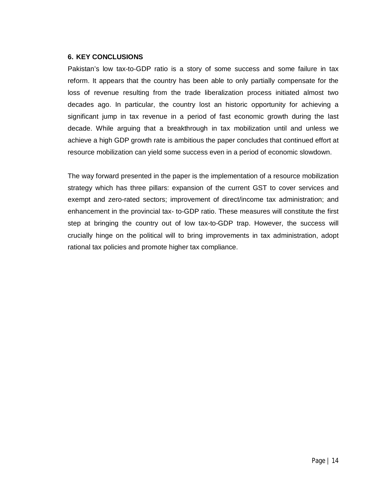#### **6. KEY CONCLUSIONS**

Pakistan's low tax-to-GDP ratio is a story of some success and some failure in tax reform. It appears that the country has been able to only partially compensate for the loss of revenue resulting from the trade liberalization process initiated almost two decades ago. In particular, the country lost an historic opportunity for achieving a significant jump in tax revenue in a period of fast economic growth during the last decade. While arguing that a breakthrough in tax mobilization until and unless we achieve a high GDP growth rate is ambitious the paper concludes that continued effort at resource mobilization can yield some success even in a period of economic slowdown.

The way forward presented in the paper is the implementation of a resource mobilization strategy which has three pillars: expansion of the current GST to cover services and exempt and zero-rated sectors; improvement of direct/income tax administration; and enhancement in the provincial tax- to-GDP ratio. These measures will constitute the first step at bringing the country out of low tax-to-GDP trap. However, the success will crucially hinge on the political will to bring improvements in tax administration, adopt rational tax policies and promote higher tax compliance.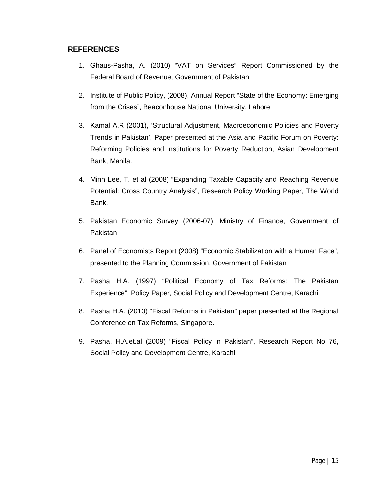#### **REFERENCES**

- 1. Ghaus-Pasha, A. (2010) "VAT on Services" Report Commissioned by the Federal Board of Revenue, Government of Pakistan
- 2. Institute of Public Policy, (2008), Annual Report "State of the Economy: Emerging from the Crises", Beaconhouse National University, Lahore
- 3. Kamal A.R (2001), 'Structural Adjustment, Macroeconomic Policies and Poverty Trends in Pakistan', Paper presented at the Asia and Pacific Forum on Poverty: Reforming Policies and Institutions for Poverty Reduction, Asian Development Bank, Manila.
- 4. Minh Lee, T. et al (2008) "Expanding Taxable Capacity and Reaching Revenue Potential: Cross Country Analysis", Research Policy Working Paper, The World Bank.
- 5. Pakistan Economic Survey (2006-07), Ministry of Finance, Government of Pakistan
- 6. Panel of Economists Report (2008) "Economic Stabilization with a Human Face", presented to the Planning Commission, Government of Pakistan
- 7. Pasha H.A. (1997) "Political Economy of Tax Reforms: The Pakistan Experience", Policy Paper, Social Policy and Development Centre, Karachi
- 8. Pasha H.A. (2010) "Fiscal Reforms in Pakistan" paper presented at the Regional Conference on Tax Reforms, Singapore.
- 9. Pasha, H.A.et.al (2009) "Fiscal Policy in Pakistan", Research Report No 76, Social Policy and Development Centre, Karachi